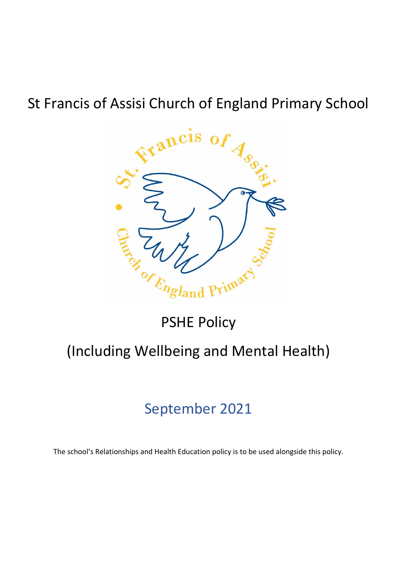# St Francis of Assisi Church of England Primary School



# PSHE Policy

# (Including Wellbeing and Mental Health)

# September 2021

The school's Relationships and Health Education policy is to be used alongside this policy.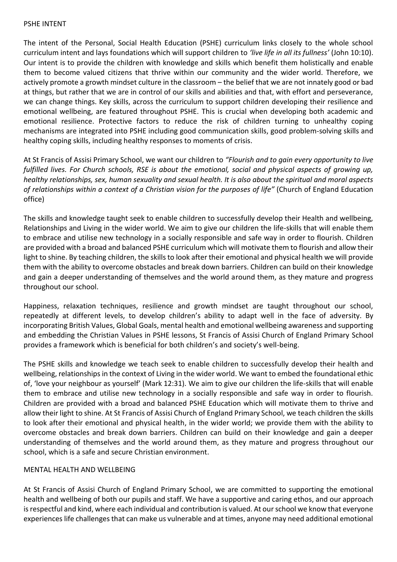#### PSHE INTENT

The intent of the Personal, Social Health Education (PSHE) curriculum links closely to the whole school curriculum intent and lays foundations which will support children to *'live life in all its fullness'* (John 10:10). Our intent is to provide the children with knowledge and skills which benefit them holistically and enable them to become valued citizens that thrive within our community and the wider world. Therefore, we actively promote a growth mindset culture in the classroom – the belief that we are not innately good or bad at things, but rather that we are in control of our skills and abilities and that, with effort and perseverance, we can change things. Key skills, across the curriculum to support children developing their resilience and emotional wellbeing, are featured throughout PSHE. This is crucial when developing both academic and emotional resilience. Protective factors to reduce the risk of children turning to unhealthy coping mechanisms are integrated into PSHE including good communication skills, good problem-solving skills and healthy coping skills, including healthy responses to moments of crisis.

At St Francis of Assisi Primary School, we want our children to *"Flourish and to gain every opportunity to live fulfilled lives. For Church schools, RSE is about the emotional, social and physical aspects of growing up, healthy relationships, sex, human sexuality and sexual health. It is also about the spiritual and moral aspects of relationships within a context of a Christian vision for the purposes of life"* (Church of England Education office)

The skills and knowledge taught seek to enable children to successfully develop their Health and wellbeing, Relationships and Living in the wider world. We aim to give our children the life-skills that will enable them to embrace and utilise new technology in a socially responsible and safe way in order to flourish. Children are provided with a broad and balanced PSHE curriculum which will motivate them to flourish and allow their light to shine. By teaching children, the skills to look after their emotional and physical health we will provide them with the ability to overcome obstacles and break down barriers. Children can build on their knowledge and gain a deeper understanding of themselves and the world around them, as they mature and progress throughout our school.

Happiness, relaxation techniques, resilience and growth mindset are taught throughout our school, repeatedly at different levels, to develop children's ability to adapt well in the face of adversity. By incorporating British Values, Global Goals, mental health and emotional wellbeing awareness and supporting and embedding the Christian Values in PSHE lessons, St Francis of Assisi Church of England Primary School provides a framework which is beneficial for both children's and society's well-being.

The PSHE skills and knowledge we teach seek to enable children to successfully develop their health and wellbeing, relationships in the context of Living in the wider world. We want to embed the foundational ethic of, 'love your neighbour as yourself' (Mark 12:31). We aim to give our children the life-skills that will enable them to embrace and utilise new technology in a socially responsible and safe way in order to flourish. Children are provided with a broad and balanced PSHE Education which will motivate them to thrive and allow their light to shine. At St Francis of Assisi Church of England Primary School, we teach children the skills to look after their emotional and physical health, in the wider world; we provide them with the ability to overcome obstacles and break down barriers. Children can build on their knowledge and gain a deeper understanding of themselves and the world around them, as they mature and progress throughout our school, which is a safe and secure Christian environment.

#### MENTAL HEALTH AND WELLBEING

At St Francis of Assisi Church of England Primary School, we are committed to supporting the emotional health and wellbeing of both our pupils and staff. We have a supportive and caring ethos, and our approach is respectful and kind, where each individual and contribution is valued. At our school we know that everyone experiences life challenges that can make us vulnerable and at times, anyone may need additional emotional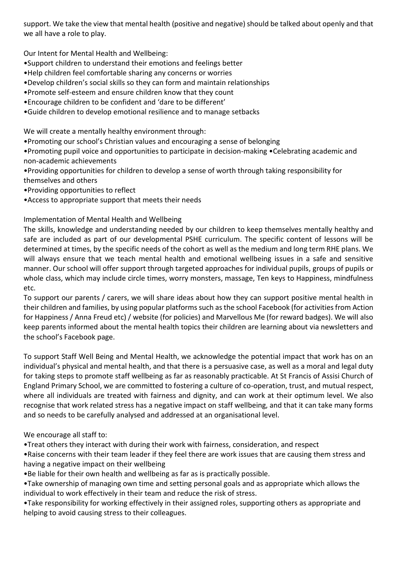support. We take the view that mental health (positive and negative) should be talked about openly and that we all have a role to play.

Our Intent for Mental Health and Wellbeing:

- •Support children to understand their emotions and feelings better
- •Help children feel comfortable sharing any concerns or worries
- •Develop children's social skills so they can form and maintain relationships
- •Promote self-esteem and ensure children know that they count
- •Encourage children to be confident and 'dare to be different'
- •Guide children to develop emotional resilience and to manage setbacks

We will create a mentally healthy environment through:

•Promoting our school's Christian values and encouraging a sense of belonging

•Promoting pupil voice and opportunities to participate in decision-making •Celebrating academic and non-academic achievements

- •Providing opportunities for children to develop a sense of worth through taking responsibility for themselves and others
- •Providing opportunities to reflect
- •Access to appropriate support that meets their needs

Implementation of Mental Health and Wellbeing

The skills, knowledge and understanding needed by our children to keep themselves mentally healthy and safe are included as part of our developmental PSHE curriculum. The specific content of lessons will be determined at times, by the specific needs of the cohort as well as the medium and long term RHE plans. We will always ensure that we teach mental health and emotional wellbeing issues in a safe and sensitive manner. Our school will offer support through targeted approaches for individual pupils, groups of pupils or whole class, which may include circle times, worry monsters, massage, Ten keys to Happiness, mindfulness etc.

To support our parents / carers, we will share ideas about how they can support positive mental health in their children and families, by using popular platforms such as the school Facebook (for activities from Action for Happiness / Anna Freud etc) / website (for policies) and Marvellous Me (for reward badges). We will also keep parents informed about the mental health topics their children are learning about via newsletters and the school's Facebook page.

To support Staff Well Being and Mental Health, we acknowledge the potential impact that work has on an individual's physical and mental health, and that there is a persuasive case, as well as a moral and legal duty for taking steps to promote staff wellbeing as far as reasonably practicable. At St Francis of Assisi Church of England Primary School, we are committed to fostering a culture of co-operation, trust, and mutual respect, where all individuals are treated with fairness and dignity, and can work at their optimum level. We also recognise that work related stress has a negative impact on staff wellbeing, and that it can take many forms and so needs to be carefully analysed and addressed at an organisational level.

We encourage all staff to:

- •Treat others they interact with during their work with fairness, consideration, and respect
- •Raise concerns with their team leader if they feel there are work issues that are causing them stress and having a negative impact on their wellbeing
- •Be liable for their own health and wellbeing as far as is practically possible.
- •Take ownership of managing own time and setting personal goals and as appropriate which allows the individual to work effectively in their team and reduce the risk of stress.
- •Take responsibility for working effectively in their assigned roles, supporting others as appropriate and helping to avoid causing stress to their colleagues.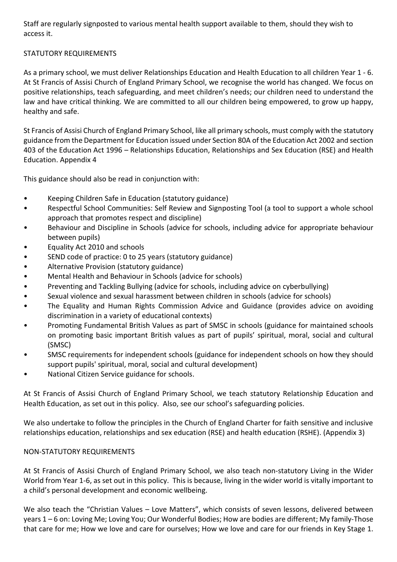Staff are regularly signposted to various mental health support available to them, should they wish to access it.

#### STATUTORY REQUIREMENTS

As a primary school, we must deliver Relationships Education and Health Education to all children Year 1 - 6. At St Francis of Assisi Church of England Primary School, we recognise the world has changed. We focus on positive relationships, teach safeguarding, and meet children's needs; our children need to understand the law and have critical thinking. We are committed to all our children being empowered, to grow up happy, healthy and safe.

St Francis of Assisi Church of England Primary School, like all primary schools, must comply with the statutory guidance from the Department for Education issued under Section 80A of the Education Act 2002 and section 403 of the Education Act 1996 – Relationships Education, Relationships and Sex Education (RSE) and Health Education. Appendix 4

This guidance should also be read in conjunction with:

- Keeping Children Safe in Education (statutory guidance)
- Respectful School Communities: Self Review and Signposting Tool (a tool to support a whole school approach that promotes respect and discipline)
- Behaviour and Discipline in Schools (advice for schools, including advice for appropriate behaviour between pupils)
- Equality Act 2010 and schools
- SEND code of practice: 0 to 25 years (statutory guidance)
- Alternative Provision (statutory guidance)
- Mental Health and Behaviour in Schools (advice for schools)
- Preventing and Tackling Bullying (advice for schools, including advice on cyberbullying)
- Sexual violence and sexual harassment between children in schools (advice for schools)
- The Equality and Human Rights Commission Advice and Guidance (provides advice on avoiding discrimination in a variety of educational contexts)
- Promoting Fundamental British Values as part of SMSC in schools (guidance for maintained schools on promoting basic important British values as part of pupils' spiritual, moral, social and cultural (SMSC)
- SMSC requirements for independent schools (guidance for independent schools on how they should support pupils' spiritual, moral, social and cultural development)
- National Citizen Service guidance for schools.

At St Francis of Assisi Church of England Primary School, we teach statutory Relationship Education and Health Education, as set out in this policy. Also, see our school's safeguarding policies.

We also undertake to follow the principles in the Church of England Charter for faith sensitive and inclusive relationships education, relationships and sex education (RSE) and health education (RSHE). (Appendix 3)

#### NON-STATUTORY REQUIREMENTS

At St Francis of Assisi Church of England Primary School, we also teach non-statutory Living in the Wider World from Year 1-6, as set out in this policy. This is because, living in the wider world is vitally important to a child's personal development and economic wellbeing.

We also teach the "Christian Values – Love Matters", which consists of seven lessons, delivered between years 1 – 6 on: Loving Me; Loving You; Our Wonderful Bodies; How are bodies are different; My family-Those that care for me; How we love and care for ourselves; How we love and care for our friends in Key Stage 1.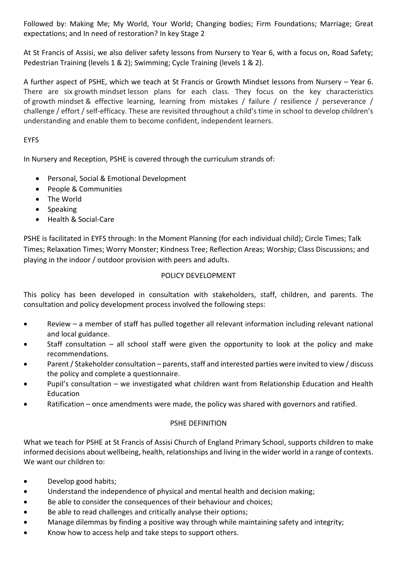Followed by: Making Me; My World, Your World; Changing bodies; Firm Foundations; Marriage; Great expectations; and In need of restoration? In key Stage 2

At St Francis of Assisi, we also deliver safety lessons from Nursery to Year 6, with a focus on, Road Safety; Pedestrian Training (levels 1 & 2); Swimming; Cycle Training (levels 1 & 2).

A further aspect of PSHE, which we teach at St Francis or Growth Mindset lessons from Nursery – Year 6. There are six growth mindset lesson plans for each class. They focus on the key characteristics of growth mindset & effective learning, learning from mistakes / failure / resilience / perseverance / challenge / effort / self-efficacy. These are revisited throughout a child's time in school to develop children's understanding and enable them to become confident, independent learners.

#### EYFS

In Nursery and Reception, PSHE is covered through the curriculum strands of:

- Personal, Social & Emotional Development
- People & Communities
- The World
- Speaking
- Health & Social-Care

PSHE is facilitated in EYFS through: In the Moment Planning (for each individual child); Circle Times; Talk Times; Relaxation Times; Worry Monster; Kindness Tree; Reflection Areas; Worship; Class Discussions; and playing in the indoor / outdoor provision with peers and adults.

#### POLICY DEVELOPMENT

This policy has been developed in consultation with stakeholders, staff, children, and parents. The consultation and policy development process involved the following steps:

- Review a member of staff has pulled together all relevant information including relevant national and local guidance.
- Staff consultation  $-$  all school staff were given the opportunity to look at the policy and make recommendations.
- Parent / Stakeholder consultation parents, staff and interested parties were invited to view / discuss the policy and complete a questionnaire.
- Pupil's consultation we investigated what children want from Relationship Education and Health Education
- Ratification once amendments were made, the policy was shared with governors and ratified.

#### PSHE DEFINITION

What we teach for PSHE at St Francis of Assisi Church of England Primary School, supports children to make informed decisions about wellbeing, health, relationships and living in the wider world in a range of contexts. We want our children to:

- Develop good habits;
- Understand the independence of physical and mental health and decision making;
- Be able to consider the consequences of their behaviour and choices;
- Be able to read challenges and critically analyse their options;
- Manage dilemmas by finding a positive way through while maintaining safety and integrity;
- Know how to access help and take steps to support others.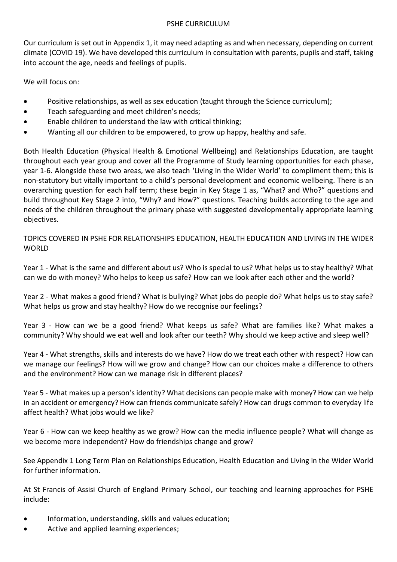Our curriculum is set out in Appendix 1, it may need adapting as and when necessary, depending on current climate (COVID 19). We have developed this curriculum in consultation with parents, pupils and staff, taking into account the age, needs and feelings of pupils.

We will focus on:

- Positive relationships, as well as sex education (taught through the Science curriculum);
- Teach safeguarding and meet children's needs;
- Enable children to understand the law with critical thinking;
- Wanting all our children to be empowered, to grow up happy, healthy and safe.

Both Health Education (Physical Health & Emotional Wellbeing) and Relationships Education, are taught throughout each year group and cover all the Programme of Study learning opportunities for each phase, year 1-6. Alongside these two areas, we also teach 'Living in the Wider World' to compliment them; this is non-statutory but vitally important to a child's personal development and economic wellbeing. There is an overarching question for each half term; these begin in Key Stage 1 as, "What? and Who?" questions and build throughout Key Stage 2 into, "Why? and How?" questions. Teaching builds according to the age and needs of the children throughout the primary phase with suggested developmentally appropriate learning objectives.

TOPICS COVERED IN PSHE FOR RELATIONSHIPS EDUCATION, HEALTH EDUCATION AND LIVING IN THE WIDER **WORLD** 

Year 1 - What is the same and different about us? Who is special to us? What helps us to stay healthy? What can we do with money? Who helps to keep us safe? How can we look after each other and the world?

Year 2 - What makes a good friend? What is bullying? What jobs do people do? What helps us to stay safe? What helps us grow and stay healthy? How do we recognise our feelings?

Year 3 - How can we be a good friend? What keeps us safe? What are families like? What makes a community? Why should we eat well and look after our teeth? Why should we keep active and sleep well?

Year 4 - What strengths, skills and interests do we have? How do we treat each other with respect? How can we manage our feelings? How will we grow and change? How can our choices make a difference to others and the environment? How can we manage risk in different places?

Year 5 - What makes up a person's identity? What decisions can people make with money? How can we help in an accident or emergency? How can friends communicate safely? How can drugs common to everyday life affect health? What jobs would we like?

Year 6 - How can we keep healthy as we grow? How can the media influence people? What will change as we become more independent? How do friendships change and grow?

See Appendix 1 Long Term Plan on Relationships Education, Health Education and Living in the Wider World for further information.

At St Francis of Assisi Church of England Primary School, our teaching and learning approaches for PSHE include:

- Information, understanding, skills and values education;
- Active and applied learning experiences;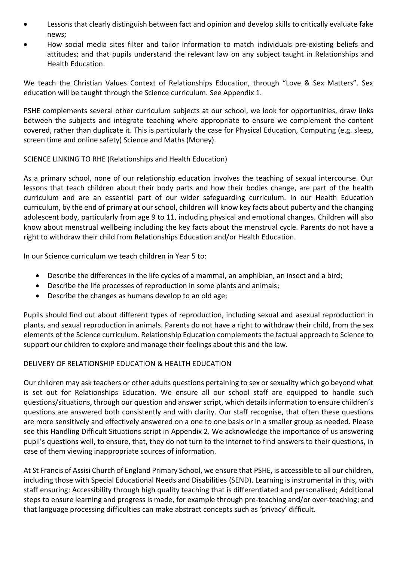- Lessons that clearly distinguish between fact and opinion and develop skills to critically evaluate fake news;
- How social media sites filter and tailor information to match individuals pre-existing beliefs and attitudes; and that pupils understand the relevant law on any subject taught in Relationships and Health Education.

We teach the Christian Values Context of Relationships Education, through "Love & Sex Matters". Sex education will be taught through the Science curriculum. See Appendix 1.

PSHE complements several other curriculum subjects at our school, we look for opportunities, draw links between the subjects and integrate teaching where appropriate to ensure we complement the content covered, rather than duplicate it. This is particularly the case for Physical Education, Computing (e.g. sleep, screen time and online safety) Science and Maths (Money).

#### SCIENCE LINKING TO RHE (Relationships and Health Education)

As a primary school, none of our relationship education involves the teaching of sexual intercourse. Our lessons that teach children about their body parts and how their bodies change, are part of the health curriculum and are an essential part of our wider safeguarding curriculum. In our Health Education curriculum, by the end of primary at our school, children will know key facts about puberty and the changing adolescent body, particularly from age 9 to 11, including physical and emotional changes. Children will also know about menstrual wellbeing including the key facts about the menstrual cycle. Parents do not have a right to withdraw their child from Relationships Education and/or Health Education.

In our Science curriculum we teach children in Year 5 to:

- Describe the differences in the life cycles of a mammal, an amphibian, an insect and a bird;
- Describe the life processes of reproduction in some plants and animals;
- Describe the changes as humans develop to an old age;

Pupils should find out about different types of reproduction, including sexual and asexual reproduction in plants, and sexual reproduction in animals. Parents do not have a right to withdraw their child, from the sex elements of the Science curriculum. Relationship Education complements the factual approach to Science to support our children to explore and manage their feelings about this and the law.

#### DELIVERY OF RELATIONSHIP EDUCATION & HEALTH EDUCATION

Our children may ask teachers or other adults questions pertaining to sex or sexuality which go beyond what is set out for Relationships Education. We ensure all our school staff are equipped to handle such questions/situations, through our question and answer script, which details information to ensure children's questions are answered both consistently and with clarity. Our staff recognise, that often these questions are more sensitively and effectively answered on a one to one basis or in a smaller group as needed. Please see this Handling Difficult Situations script in Appendix 2. We acknowledge the importance of us answering pupil's questions well, to ensure, that, they do not turn to the internet to find answers to their questions, in case of them viewing inappropriate sources of information.

At St Francis of Assisi Church of England Primary School, we ensure that PSHE, is accessible to all our children, including those with Special Educational Needs and Disabilities (SEND). Learning is instrumental in this, with staff ensuring: Accessibility through high quality teaching that is differentiated and personalised; Additional steps to ensure learning and progress is made, for example through pre-teaching and/or over-teaching; and that language processing difficulties can make abstract concepts such as 'privacy' difficult.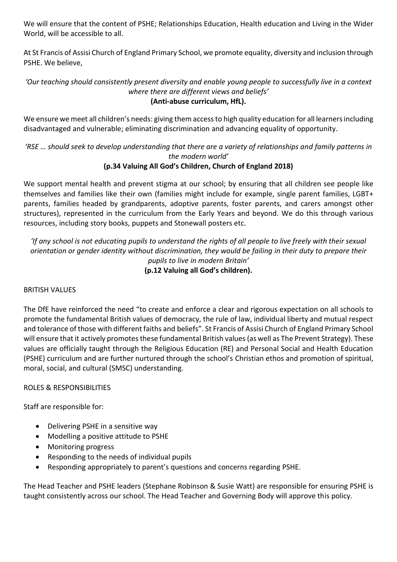We will ensure that the content of PSHE; Relationships Education, Health education and Living in the Wider World, will be accessible to all.

At St Francis of Assisi Church of England Primary School, we promote equality, diversity and inclusion through PSHE. We believe,

#### *'Our teaching should consistently present diversity and enable young people to successfully live in a context where there are different views and beliefs'* **(Anti-abuse curriculum, HfL).**

We ensure we meet all children's needs: giving them access to high quality education for all learners including disadvantaged and vulnerable; eliminating discrimination and advancing equality of opportunity.

### *'RSE … should seek to develop understanding that there are a variety of relationships and family patterns in the modern world'*

### **(p.34 Valuing All God's Children, Church of England 2018)**

We support mental health and prevent stigma at our school; by ensuring that all children see people like themselves and families like their own (families might include for example, single parent families, LGBT+ parents, families headed by grandparents, adoptive parents, foster parents, and carers amongst other structures), represented in the curriculum from the Early Years and beyond. We do this through various resources, including story books, puppets and Stonewall posters etc.

*'If any school is not educating pupils to understand the rights of all people to live freely with their sexual orientation or gender identity without discrimination, they would be failing in their duty to prepare their pupils to live in modern Britain'* **(p.12 Valuing all God's children).**

### BRITISH VALUES

The DfE have reinforced the need "to create and enforce a clear and rigorous expectation on all schools to promote the fundamental British values of democracy, the rule of law, individual liberty and mutual respect and tolerance of those with different faiths and beliefs". St Francis of Assisi Church of England Primary School will ensure that it actively promotes these fundamental British values(as well as The Prevent Strategy). These values are officially taught through the Religious Education (RE) and Personal Social and Health Education (PSHE) curriculum and are further nurtured through the school's Christian ethos and promotion of spiritual, moral, social, and cultural (SMSC) understanding.

### ROLES & RESPONSIBILITIES

Staff are responsible for:

- Delivering PSHE in a sensitive way
- Modelling a positive attitude to PSHE
- Monitoring progress
- Responding to the needs of individual pupils
- Responding appropriately to parent's questions and concerns regarding PSHE.

The Head Teacher and PSHE leaders (Stephane Robinson & Susie Watt) are responsible for ensuring PSHE is taught consistently across our school. The Head Teacher and Governing Body will approve this policy.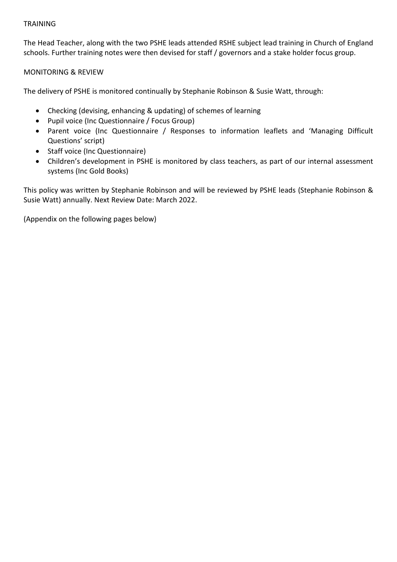#### TRAINING

The Head Teacher, along with the two PSHE leads attended RSHE subject lead training in Church of England schools. Further training notes were then devised for staff / governors and a stake holder focus group.

MONITORING & REVIEW

The delivery of PSHE is monitored continually by Stephanie Robinson & Susie Watt, through:

- Checking (devising, enhancing & updating) of schemes of learning
- Pupil voice (Inc Questionnaire / Focus Group)
- Parent voice (Inc Questionnaire / Responses to information leaflets and 'Managing Difficult Questions' script)
- Staff voice (Inc Questionnaire)
- Children's development in PSHE is monitored by class teachers, as part of our internal assessment systems (Inc Gold Books)

This policy was written by Stephanie Robinson and will be reviewed by PSHE leads (Stephanie Robinson & Susie Watt) annually. Next Review Date: March 2022.

(Appendix on the following pages below)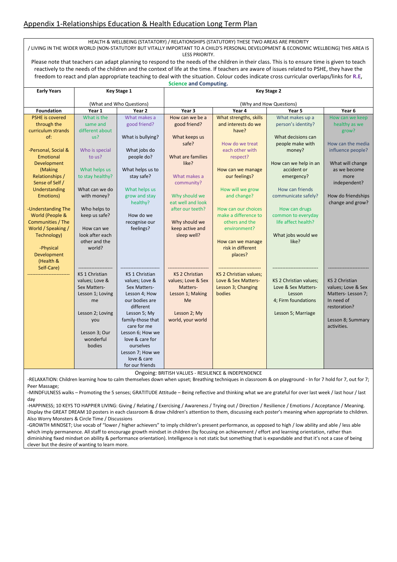#### Appendix 1-Relationships Education & Health Education Long Term Plan

HEALTH & WELLBEING (STATATORY) / RELATIONSHIPS (STATUTORY) THESE TWO AREAS ARE PRIORITY

/ LIVING IN THE WIDER WORLD (NON-STATUTORY BUT VITALLY IMPORTANT TO A CHILD'S PERSONAL DEVELOPMENT & ECONOMIC WELLBEING) THIS AREA IS LESS PRIORITY.

Please note that teachers can adapt planning to respond to the needs of the children in their class. This is to ensure time is given to teach reactively to the needs of the children and the context of life at the time. If teachers are aware of issues related to PSHE, they have the freedom to react and plan appropriate teaching to deal with the situation. Colour codes indicate cross curricular overlaps/links for **R.E, Science and Computing.**

| <b>Early Years</b>                    | <b>Key Stage 1</b>       |                                  | <b>Key Stage 2</b>              |                                               |                                       |                                  |
|---------------------------------------|--------------------------|----------------------------------|---------------------------------|-----------------------------------------------|---------------------------------------|----------------------------------|
|                                       | (What and Who Questions) |                                  | (Why and How Questions)         |                                               |                                       |                                  |
| <b>Foundation</b>                     | Year 1                   | Year 2                           | Year 3                          | Year 4                                        | Year 5                                | Year 6                           |
| <b>PSHE</b> is covered<br>through the | What is the<br>same and  | What makes a<br>good friend?     | How can we be a<br>good friend? | What strengths, skills<br>and interests do we | What makes up a<br>person's identity? | How can we keep<br>healthy as we |
| curriculum strands                    | different about          |                                  |                                 | have?                                         |                                       | grow?                            |
| of:                                   | us?                      | What is bullying?                | What keeps us                   |                                               | What decisions can                    |                                  |
|                                       |                          |                                  | safe?                           | How do we treat                               | people make with                      | How can the media                |
| -Personal, Social &                   | Who is special           | What jobs do                     |                                 | each other with                               | money?                                | influence people?                |
| Emotional                             | to us?                   | people do?                       | What are families               | respect?                                      |                                       |                                  |
| Development                           |                          |                                  | like?                           |                                               | How can we help in an                 | What will change                 |
| (Making                               | What helps us            | What helps us to                 |                                 | How can we manage                             | accident or                           | as we become                     |
| Relationships /<br>Sense of Self /    | to stay healthy?         | stay safe?                       | What makes a<br>community?      | our feelings?                                 | emergency?                            | more<br>independent?             |
| Understanding                         | What can we do           | What helps us                    |                                 | How will we grow                              | How can friends                       |                                  |
| Emotions)                             | with money?              | grow and stay                    | Why should we                   | and change?                                   | communicate safely?                   | How do friendships               |
|                                       |                          | healthy?                         | eat well and look               |                                               |                                       | change and grow?                 |
| -Understanding The                    | Who helps to             |                                  | after our teeth?                | How can our choices                           | How can drugs                         |                                  |
| World (People &                       | keep us safe?            | How do we                        |                                 | make a difference to                          | common to everyday                    |                                  |
| Communities / The                     |                          | recognise our                    | Why should we                   | others and the                                | life affect health?                   |                                  |
| World / Speaking /                    | How can we               | feelings?                        | keep active and                 | environment?                                  |                                       |                                  |
| Technology)                           | look after each          |                                  | sleep well?                     |                                               | What jobs would we                    |                                  |
|                                       | other and the            |                                  |                                 | How can we manage                             | like?                                 |                                  |
| -Physical<br>Development              | world?                   |                                  |                                 | risk in different<br>places?                  |                                       |                                  |
| (Health &                             |                          |                                  |                                 |                                               |                                       |                                  |
| Self-Care)                            |                          |                                  |                                 |                                               |                                       |                                  |
|                                       | <b>KS 1 Christian</b>    | <b>KS 1 Christian</b>            | <b>KS 2 Christian</b>           | <b>KS 2 Christian values;</b>                 |                                       |                                  |
|                                       | values; Love &           | values; Love &                   | values; Love & Sex              | Love & Sex Matters-                           | KS 2 Christian values;                | <b>KS 2 Christian</b>            |
|                                       | Sex Matters-             | Sex Matters-                     | Matters-                        | Lesson 3; Changing                            | Love & Sex Matters-                   | values; Love & Sex               |
|                                       | Lesson 1; Loving         | Lesson 4: How                    | Lesson 1; Making                | bodies                                        | Lesson                                | Matters-Lesson 7;                |
|                                       | me                       | our bodies are                   | Me                              |                                               | 4; Firm foundations                   | In need of                       |
|                                       |                          | different                        |                                 |                                               |                                       | restoration?                     |
|                                       | Lesson 2; Loving         | Lesson 5; My                     | Lesson 2; My                    |                                               | Lesson 5; Marriage                    |                                  |
|                                       | you                      | family-those that<br>care for me | world, your world               |                                               |                                       | Lesson 8; Summary<br>activities. |
|                                       | Lesson 3; Our            | Lesson 6; How we                 |                                 |                                               |                                       |                                  |
|                                       | wonderful                | love & care for                  |                                 |                                               |                                       |                                  |
|                                       | bodies                   | ourselves                        |                                 |                                               |                                       |                                  |
|                                       |                          | Lesson 7; How we                 |                                 |                                               |                                       |                                  |
|                                       |                          | love & care                      |                                 |                                               |                                       |                                  |
|                                       |                          | for our friends                  |                                 |                                               |                                       |                                  |

Ongoing: BRITISH VALUES - RESILIENCE & INDEPENDENCE

-RELAXATION: Children learning how to calm themselves down when upset; Breathing techniques in classroom & on playground - In for 7 hold for 7, out for 7; Peer Massage;

-MINDFULNESS walks – Promoting the 5 senses; GRATITUDE Attitude – Being reflective and thinking what we are grateful for over last week / last hour / last day

-HAPPINESS; 10 KEYS TO HAPPIER LIVING: Giving / Relating / Exercising / Awareness / Trying out / Direction / Resilience / Emotions / Acceptance / Meaning. Display the GREAT DREAM 10 posters in each classroom & draw children's attention to them, discussing each poster's meaning when appropriate to children. Also Worry Monsters & Circle Time / Discussions

-GROWTH MINDSET; Use vocab of "lower / higher achievers" to imply children's present performance, as opposed to high / low ability and able / less able which imply permanence. All staff to encourage growth mindset in children (by focusing on achievement / effort and learning orientation, rather than diminishing fixed mindset on ability & performance orientation). Intelligence is not static but something that is expandable and that it's not a case of being clever but the desire of wanting to learn more.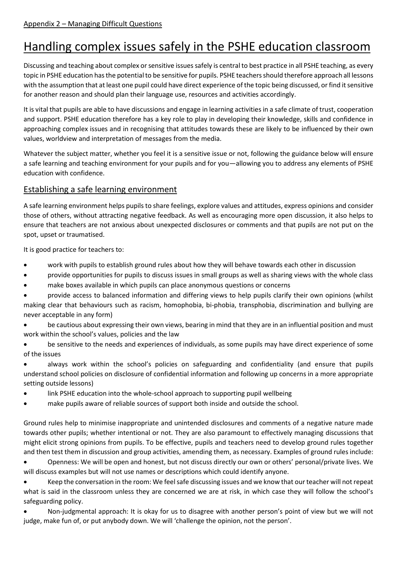## Handling complex issues safely in the PSHE education classroom

Discussing and teaching about complex or sensitive issues safely is central to best practice in all PSHE teaching, as every topic in PSHE education has the potential to be sensitive for pupils. PSHE teachers should therefore approach all lessons with the assumption that at least one pupil could have direct experience of the topic being discussed, or find it sensitive for another reason and should plan their language use, resources and activities accordingly.

It is vital that pupils are able to have discussions and engage in learning activities in a safe climate of trust, cooperation and support. PSHE education therefore has a key role to play in developing their knowledge, skills and confidence in approaching complex issues and in recognising that attitudes towards these are likely to be influenced by their own values, worldview and interpretation of messages from the media.

Whatever the subject matter, whether you feel it is a sensitive issue or not, following the guidance below will ensure a safe learning and teaching environment for your pupils and for you—allowing you to address any elements of PSHE education with confidence.

### Establishing a safe learning environment

A safe learning environment helps pupils to share feelings, explore values and attitudes, express opinions and consider those of others, without attracting negative feedback. As well as encouraging more open discussion, it also helps to ensure that teachers are not anxious about unexpected disclosures or comments and that pupils are not put on the spot, upset or traumatised.

It is good practice for teachers to:

- work with pupils to establish ground rules about how they will behave towards each other in discussion
- provide opportunities for pupils to discuss issues in small groups as well as sharing views with the whole class
- make boxes available in which pupils can place anonymous questions or concerns

• provide access to balanced information and differing views to help pupils clarify their own opinions (whilst making clear that behaviours such as racism, homophobia, bi-phobia, transphobia, discrimination and bullying are never acceptable in any form)

be cautious about expressing their own views, bearing in mind that they are in an influential position and must work within the school's values, policies and the law

• be sensitive to the needs and experiences of individuals, as some pupils may have direct experience of some of the issues

• always work within the school's policies on safeguarding and confidentiality (and ensure that pupils understand school policies on disclosure of confidential information and following up concerns in a more appropriate setting outside lessons)

- link PSHE education into the whole-school approach to supporting pupil wellbeing
- make pupils aware of reliable sources of support both inside and outside the school.

Ground rules help to minimise inappropriate and unintended disclosures and comments of a negative nature made towards other pupils; whether intentional or not. They are also paramount to effectively managing discussions that might elicit strong opinions from pupils. To be effective, pupils and teachers need to develop ground rules together and then test them in discussion and group activities, amending them, as necessary. Examples of ground rules include:

• Openness: We will be open and honest, but not discuss directly our own or others' personal/private lives. We will discuss examples but will not use names or descriptions which could identify anyone.

• Keep the conversation in the room: We feel safe discussing issues and we know that our teacher will not repeat what is said in the classroom unless they are concerned we are at risk, in which case they will follow the school's safeguarding policy.

• Non-judgmental approach: It is okay for us to disagree with another person's point of view but we will not judge, make fun of, or put anybody down. We will 'challenge the opinion, not the person'.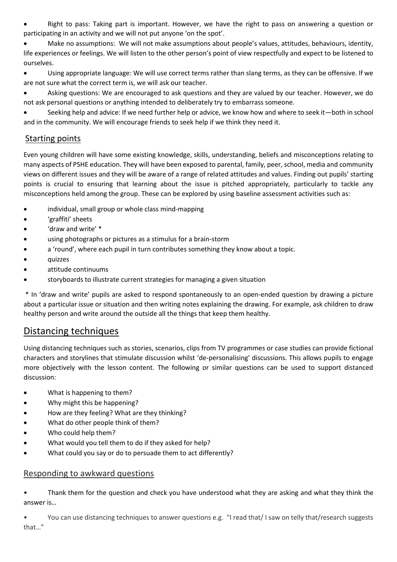• Right to pass: Taking part is important. However, we have the right to pass on answering a question or participating in an activity and we will not put anyone 'on the spot'.

• Make no assumptions: We will not make assumptions about people's values, attitudes, behaviours, identity, life experiences or feelings. We will listen to the other person's point of view respectfully and expect to be listened to ourselves.

• Using appropriate language: We will use correct terms rather than slang terms, as they can be offensive. If we are not sure what the correct term is, we will ask our teacher.

• Asking questions: We are encouraged to ask questions and they are valued by our teacher. However, we do not ask personal questions or anything intended to deliberately try to embarrass someone.

• Seeking help and advice: If we need further help or advice, we know how and where to seek it—both in school and in the community. We will encourage friends to seek help if we think they need it.

### Starting points

Even young children will have some existing knowledge, skills, understanding, beliefs and misconceptions relating to many aspects of PSHE education. They will have been exposed to parental, family, peer, school, media and community views on different issues and they will be aware of a range of related attitudes and values. Finding out pupils' starting points is crucial to ensuring that learning about the issue is pitched appropriately, particularly to tackle any misconceptions held among the group. These can be explored by using baseline assessment activities such as:

- individual, small group or whole class mind-mapping
- 'graffiti' sheets
- 'draw and write' \*
- using photographs or pictures as a stimulus for a brain-storm
- a 'round', where each pupil in turn contributes something they know about a topic.
- quizzes
- attitude continuums
- storyboards to illustrate current strategies for managing a given situation

\* In 'draw and write' pupils are asked to respond spontaneously to an open-ended question by drawing a picture about a particular issue or situation and then writing notes explaining the drawing. For example, ask children to draw healthy person and write around the outside all the things that keep them healthy.

### Distancing techniques

Using distancing techniques such as stories, scenarios, clips from TV programmes or case studies can provide fictional characters and storylines that stimulate discussion whilst 'de-personalising' discussions. This allows pupils to engage more objectively with the lesson content. The following or similar questions can be used to support distanced discussion:

- What is happening to them?
- Why might this be happening?
- How are they feeling? What are they thinking?
- What do other people think of them?
- Who could help them?
- What would you tell them to do if they asked for help?
- What could you say or do to persuade them to act differently?

#### Responding to awkward questions

Thank them for the question and check you have understood what they are asking and what they think the answer is…

• You can use distancing techniques to answer questions e.g. "I read that/ I saw on telly that/research suggests that…"